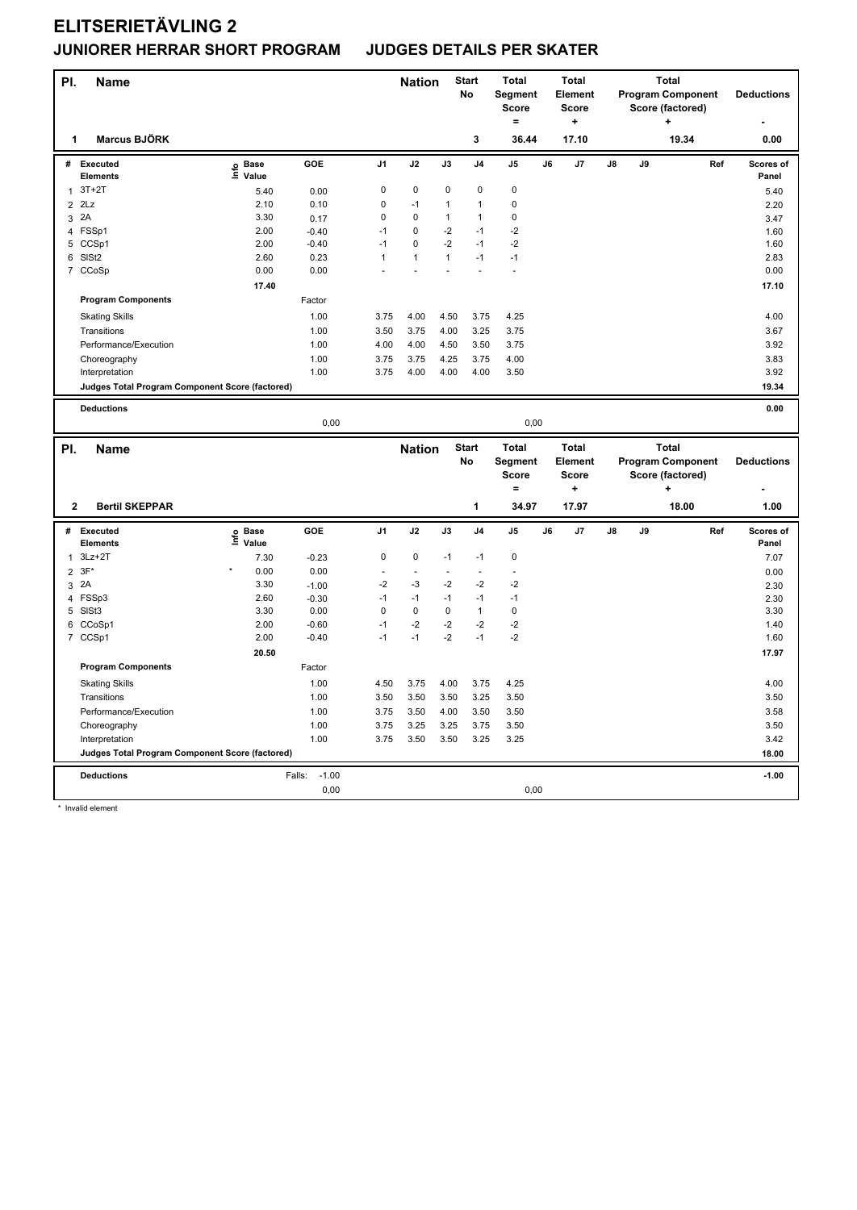### **ELITSERIETÄVLING 2 JUNIORER HERRAR SHORT PROGRAM JUDGES DETAILS PER SKATER**

| PI.            | <b>Name</b>                                     |                           |                           |                | <b>Nation</b>            |                          | <b>Start</b><br>No | <b>Total</b><br>Segment<br><b>Score</b><br>$=$ |    | <b>Total</b><br><b>Element</b><br>Score<br>$\ddot{}$ |    |    | <b>Total</b><br><b>Program Component</b><br>Score (factored)<br>÷ |     | <b>Deductions</b>  |
|----------------|-------------------------------------------------|---------------------------|---------------------------|----------------|--------------------------|--------------------------|--------------------|------------------------------------------------|----|------------------------------------------------------|----|----|-------------------------------------------------------------------|-----|--------------------|
| 1              | Marcus BJÖRK                                    |                           |                           |                |                          |                          | 3                  | 36.44                                          |    | 17.10                                                |    |    | 19.34                                                             |     | 0.00               |
| #              | <b>Executed</b><br><b>Elements</b>              | e Base<br>⊑ Value         | GOE                       | J <sub>1</sub> | J2                       | J3                       | J <sub>4</sub>     | J5                                             | J6 | J7                                                   | J8 | J9 |                                                                   | Ref | Scores of<br>Panel |
| $\mathbf{1}$   | $3T+2T$                                         | 5.40                      | 0.00                      | $\mathsf 0$    | $\mathbf 0$              | 0                        | $\mathbf 0$        | $\mathbf 0$                                    |    |                                                      |    |    |                                                                   |     | 5.40               |
| $\overline{2}$ | 2Lz                                             | 2.10                      | 0.10                      | $\mathbf 0$    | $-1$                     | $\mathbf{1}$             | 1                  | $\Omega$                                       |    |                                                      |    |    |                                                                   |     | 2.20               |
| 3              | 2A                                              | 3.30                      | 0.17                      | 0              | $\mathbf 0$              | $\mathbf{1}$             | $\mathbf{1}$       | $\mathbf 0$                                    |    |                                                      |    |    |                                                                   |     | 3.47               |
| 4              | FSSp1                                           | 2.00                      | $-0.40$                   | $-1$           | 0                        | $-2$                     | $-1$               | $-2$                                           |    |                                                      |    |    |                                                                   |     | 1.60               |
| 5              | CCSp1                                           | 2.00                      | $-0.40$                   | $-1$           | $\Omega$                 | $-2$                     | $-1$               | $-2$                                           |    |                                                      |    |    |                                                                   |     | 1.60               |
| 6              | SISt <sub>2</sub>                               | 2.60                      | 0.23                      | 1              | $\mathbf{1}$             | $\mathbf{1}$             | $-1$               | $-1$                                           |    |                                                      |    |    |                                                                   |     | 2.83               |
|                | 7 CCoSp                                         | 0.00                      | 0.00                      |                |                          |                          |                    |                                                |    |                                                      |    |    |                                                                   |     | 0.00               |
|                |                                                 | 17.40                     |                           |                |                          |                          |                    |                                                |    |                                                      |    |    |                                                                   |     | 17.10              |
|                | <b>Program Components</b>                       |                           | Factor                    |                |                          |                          |                    |                                                |    |                                                      |    |    |                                                                   |     |                    |
|                | <b>Skating Skills</b>                           |                           | 1.00                      | 3.75           | 4.00                     | 4.50                     | 3.75               | 4.25                                           |    |                                                      |    |    |                                                                   |     | 4.00               |
|                | Transitions                                     |                           | 1.00                      | 3.50           | 3.75                     | 4.00                     | 3.25               | 3.75                                           |    |                                                      |    |    |                                                                   |     | 3.67               |
|                | Performance/Execution                           |                           | 1.00                      | 4.00           | 4.00                     | 4.50                     | 3.50               | 3.75                                           |    |                                                      |    |    |                                                                   |     | 3.92               |
|                | Choreography                                    |                           | 1.00                      | 3.75           | 3.75                     | 4.25                     | 3.75               | 4.00                                           |    |                                                      |    |    |                                                                   |     | 3.83               |
|                | Interpretation                                  |                           | 1.00                      | 3.75           | 4.00                     | 4.00                     | 4.00               | 3.50                                           |    |                                                      |    |    |                                                                   |     | 3.92               |
|                | Judges Total Program Component Score (factored) |                           |                           |                |                          |                          |                    |                                                |    |                                                      |    |    |                                                                   |     | 19.34              |
|                |                                                 |                           |                           |                |                          |                          |                    |                                                |    |                                                      |    |    |                                                                   |     |                    |
|                | <b>Deductions</b>                               |                           |                           |                |                          |                          |                    |                                                |    |                                                      |    |    |                                                                   |     | 0.00               |
|                |                                                 |                           | 0,00                      |                |                          |                          |                    | 0,00                                           |    |                                                      |    |    |                                                                   |     |                    |
|                |                                                 |                           |                           |                |                          |                          |                    |                                                |    |                                                      |    |    |                                                                   |     |                    |
|                |                                                 |                           |                           |                |                          |                          |                    |                                                |    |                                                      |    |    |                                                                   |     |                    |
| PI.            | <b>Name</b>                                     |                           |                           |                | <b>Nation</b>            |                          | <b>Start</b><br>No | <b>Total</b>                                   |    | <b>Total</b><br>Element                              |    |    | <b>Total</b>                                                      |     | <b>Deductions</b>  |
|                |                                                 |                           |                           |                |                          |                          |                    | Segment<br><b>Score</b>                        |    | <b>Score</b>                                         |    |    | <b>Program Component</b>                                          |     |                    |
|                |                                                 |                           |                           |                |                          |                          |                    | $\equiv$                                       |    | ÷                                                    |    |    | Score (factored)                                                  |     |                    |
| $\mathbf{2}$   | <b>Bertil SKEPPAR</b>                           |                           |                           |                |                          |                          | $\mathbf{1}$       | 34.97                                          |    | 17.97                                                |    |    | 18.00                                                             |     | 1.00               |
| #              | Executed                                        |                           | GOE                       | J <sub>1</sub> | J2                       | J3                       | J <sub>4</sub>     | J <sub>5</sub>                                 | J6 | J7                                                   | J8 | J9 |                                                                   | Ref |                    |
|                | <b>Elements</b>                                 |                           |                           |                |                          |                          |                    |                                                |    |                                                      |    |    |                                                                   |     | Scores of<br>Panel |
| 1              | $3Lz + 2T$                                      | e Base<br>⊑ Value<br>7.30 | $-0.23$                   | $\mathsf 0$    | $\pmb{0}$                | $-1$                     | $-1$               | $\pmb{0}$                                      |    |                                                      |    |    |                                                                   |     | 7.07               |
|                |                                                 | 0.00                      | 0.00                      | ÷,             | $\overline{\phantom{a}}$ | $\overline{\phantom{a}}$ | ä,                 | $\sim$                                         |    |                                                      |    |    |                                                                   |     | 0.00               |
| 3              | $2 \t3F*$<br>2A                                 | 3.30                      | $-1.00$                   | $-2$           | $-3$                     | $-2$                     | $-2$               | $-2$                                           |    |                                                      |    |    |                                                                   |     | 2.30               |
|                | 4 FSSp3                                         | 2.60                      | $-0.30$                   | $-1$           | $-1$                     | $-1$                     | $-1$               | $-1$                                           |    |                                                      |    |    |                                                                   |     | 2.30               |
|                | 5 SISt3                                         | 3.30                      | 0.00                      | $\mathbf 0$    | $\pmb{0}$                | $\pmb{0}$                | $\mathbf{1}$       | $\pmb{0}$                                      |    |                                                      |    |    |                                                                   |     | 3.30               |
| 6              | CCoSp1                                          | 2.00                      | $-0.60$                   | $-1$           | $-2$                     | $-2$                     | $-2$               | $-2$                                           |    |                                                      |    |    |                                                                   |     | 1.40               |
|                | 7 CCSp1                                         | 2.00                      | $-0.40$                   | $-1$           | $-1$                     | $-2$                     | $-1$               | $-2$                                           |    |                                                      |    |    |                                                                   |     | 1.60               |
|                |                                                 | 20.50                     |                           |                |                          |                          |                    |                                                |    |                                                      |    |    |                                                                   |     | 17.97              |
|                | <b>Program Components</b>                       |                           | Factor                    |                |                          |                          |                    |                                                |    |                                                      |    |    |                                                                   |     |                    |
|                | <b>Skating Skills</b>                           |                           | 1.00                      | 4.50           | 3.75                     | 4.00                     | 3.75               | 4.25                                           |    |                                                      |    |    |                                                                   |     | 4.00               |
|                | Transitions                                     |                           | 1.00                      | 3.50           | 3.50                     | 3.50                     | 3.25               | 3.50                                           |    |                                                      |    |    |                                                                   |     | 3.50               |
|                | Performance/Execution                           |                           | 1.00                      | 3.75           | 3.50                     | 4.00                     | 3.50               | 3.50                                           |    |                                                      |    |    |                                                                   |     | 3.58               |
|                | Choreography                                    |                           | 1.00                      | 3.75           | 3.25                     | 3.25                     | 3.75               | 3.50                                           |    |                                                      |    |    |                                                                   |     | 3.50               |
|                | Interpretation                                  |                           | 1.00                      | 3.75           | 3.50                     | 3.50                     | 3.25               | 3.25                                           |    |                                                      |    |    |                                                                   |     | 3.42               |
|                | Judges Total Program Component Score (factored) |                           |                           |                |                          |                          |                    |                                                |    |                                                      |    |    |                                                                   |     | 18.00              |
|                |                                                 |                           |                           |                |                          |                          |                    |                                                |    |                                                      |    |    |                                                                   |     |                    |
|                | <b>Deductions</b>                               |                           | Falls:<br>$-1.00$<br>0,00 |                |                          |                          |                    | 0,00                                           |    |                                                      |    |    |                                                                   |     | $-1.00$            |

\* Invalid element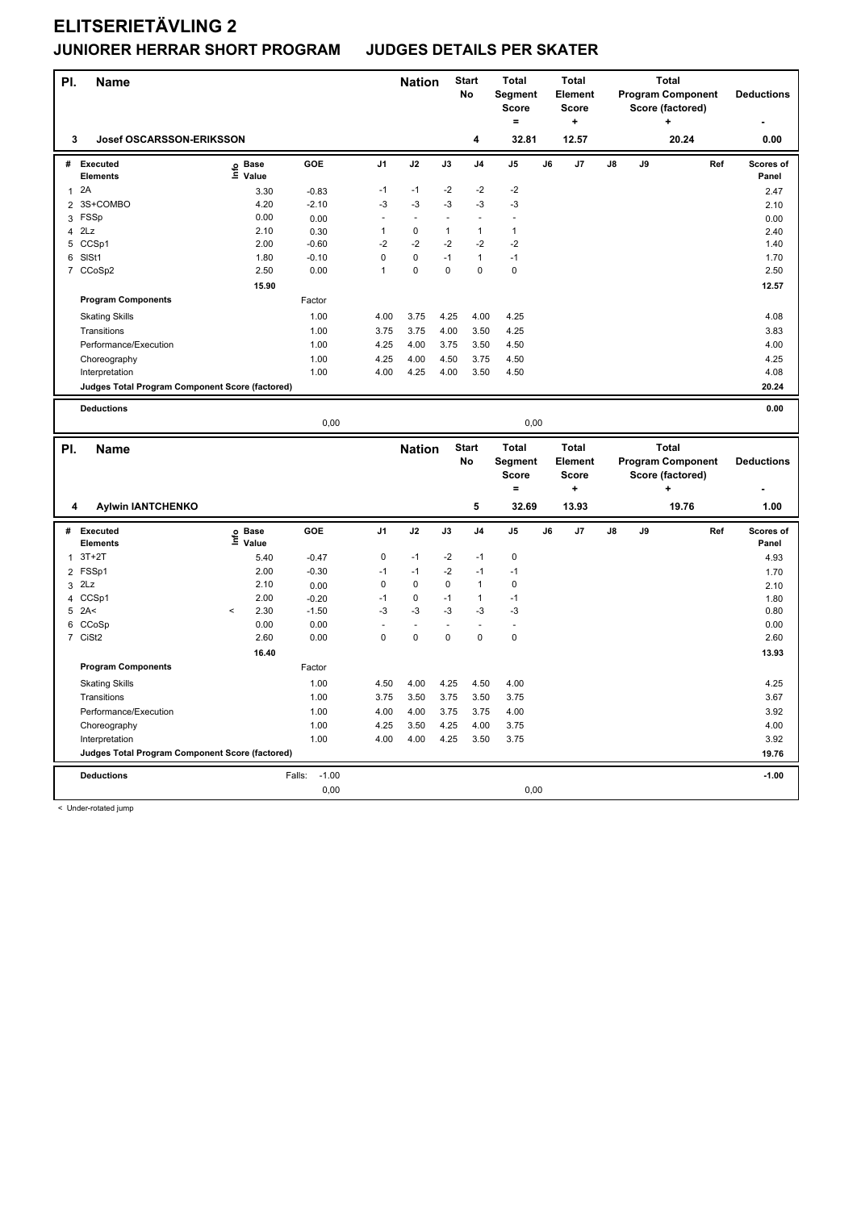## **ELITSERIETÄVLING 2**

#### **JUNIORER HERRAR SHORT PROGRAM JUDGES DETAILS PER SKATER**

| PI.            | <b>Name</b>                                     |                   |                   |                | <b>Nation</b>  |                | <b>Start</b><br>No | <b>Total</b><br>Segment<br>Score<br>$=$ |    | <b>Total</b><br><b>Element</b><br><b>Score</b><br>÷ |    |    | <b>Total</b><br><b>Program Component</b><br>Score (factored)<br>÷ |     | <b>Deductions</b>  |
|----------------|-------------------------------------------------|-------------------|-------------------|----------------|----------------|----------------|--------------------|-----------------------------------------|----|-----------------------------------------------------|----|----|-------------------------------------------------------------------|-----|--------------------|
| 3              | <b>Josef OSCARSSON-ERIKSSON</b>                 |                   |                   |                |                |                | 4                  | 32.81                                   |    | 12.57                                               |    |    | 20.24                                                             |     | 0.00               |
| #              | <b>Executed</b><br><b>Elements</b>              | e Base<br>⊑ Value | GOE               | J <sub>1</sub> | J2             | J3             | J <sub>4</sub>     | J5                                      | J6 | J7                                                  | J8 | J9 |                                                                   | Ref | Scores of<br>Panel |
| $\mathbf{1}$   | 2A                                              | 3.30              | $-0.83$           | $-1$           | $-1$           | $-2$           | $-2$               | $-2$                                    |    |                                                     |    |    |                                                                   |     | 2.47               |
| $\overline{2}$ | 3S+COMBO                                        | 4.20              | $-2.10$           | $-3$           | $-3$           | $-3$           | $-3$               | $-3$                                    |    |                                                     |    |    |                                                                   |     | 2.10               |
|                | 3 FSSp                                          | 0.00              | 0.00              | ÷,             | ä,             |                | ÷,                 | $\overline{a}$                          |    |                                                     |    |    |                                                                   |     | 0.00               |
| 4              | 2Lz                                             | 2.10              | 0.30              | $\mathbf{1}$   | 0              | $\mathbf{1}$   | $\mathbf{1}$       | $\mathbf{1}$                            |    |                                                     |    |    |                                                                   |     | 2.40               |
| 5              | CCSp1                                           | 2.00              | $-0.60$           | $-2$           | $-2$           | $-2$           | $-2$               | $-2$                                    |    |                                                     |    |    |                                                                   |     | 1.40               |
|                | 6 SISt1                                         | 1.80              | $-0.10$           | $\mathsf 0$    | $\pmb{0}$      | $-1$           | $\mathbf{1}$       | $-1$                                    |    |                                                     |    |    |                                                                   |     | 1.70               |
|                | 7 CCoSp2                                        | 2.50              | 0.00              | $\mathbf{1}$   | $\mathbf 0$    | 0              | 0                  | $\mathbf 0$                             |    |                                                     |    |    |                                                                   |     | 2.50               |
|                |                                                 | 15.90             |                   |                |                |                |                    |                                         |    |                                                     |    |    |                                                                   |     | 12.57              |
|                | <b>Program Components</b>                       |                   | Factor            |                |                |                |                    |                                         |    |                                                     |    |    |                                                                   |     |                    |
|                | <b>Skating Skills</b>                           |                   | 1.00              | 4.00           | 3.75           | 4.25           | 4.00               | 4.25                                    |    |                                                     |    |    |                                                                   |     | 4.08               |
|                | Transitions                                     |                   | 1.00              | 3.75           | 3.75           | 4.00           | 3.50               | 4.25                                    |    |                                                     |    |    |                                                                   |     | 3.83               |
|                | Performance/Execution                           |                   | 1.00              | 4.25           | 4.00           | 3.75           | 3.50               | 4.50                                    |    |                                                     |    |    |                                                                   |     | 4.00               |
|                | Choreography                                    |                   | 1.00              | 4.25           | 4.00           | 4.50           | 3.75               | 4.50                                    |    |                                                     |    |    |                                                                   |     | 4.25               |
|                | Interpretation                                  |                   | 1.00              | 4.00           | 4.25           | 4.00           | 3.50               | 4.50                                    |    |                                                     |    |    |                                                                   |     | 4.08               |
|                | Judges Total Program Component Score (factored) |                   |                   |                |                |                |                    |                                         |    |                                                     |    |    |                                                                   |     | 20.24              |
|                |                                                 |                   |                   |                |                |                |                    |                                         |    |                                                     |    |    |                                                                   |     | 0.00               |
|                | <b>Deductions</b>                               |                   | 0,00              |                |                |                |                    | 0,00                                    |    |                                                     |    |    |                                                                   |     |                    |
|                |                                                 |                   |                   |                |                |                |                    |                                         |    |                                                     |    |    |                                                                   |     |                    |
|                |                                                 |                   |                   |                |                |                |                    |                                         |    |                                                     |    |    |                                                                   |     |                    |
| PI.            | <b>Name</b>                                     |                   |                   |                | <b>Nation</b>  |                | <b>Start</b>       | <b>Total</b>                            |    | <b>Total</b>                                        |    |    | <b>Total</b>                                                      |     |                    |
|                |                                                 |                   |                   |                |                |                | No                 | Segment                                 |    | Element                                             |    |    | <b>Program Component</b>                                          |     | <b>Deductions</b>  |
|                |                                                 |                   |                   |                |                |                |                    | <b>Score</b>                            |    | <b>Score</b>                                        |    |    | Score (factored)                                                  |     |                    |
|                |                                                 |                   |                   |                |                |                |                    | $\equiv$                                |    | ÷                                                   |    |    | ٠                                                                 |     |                    |
| 4              | <b>Aylwin IANTCHENKO</b>                        |                   |                   |                |                |                | 5                  | 32.69                                   |    | 13.93                                               |    |    | 19.76                                                             |     | 1.00               |
| #              | <b>Executed</b>                                 |                   | GOE               | J <sub>1</sub> | J2             | J3             | J <sub>4</sub>     | J <sub>5</sub>                          | J6 | J7                                                  | J8 | J9 |                                                                   | Ref | Scores of          |
|                | Elements                                        | e Base<br>⊑ Value |                   |                |                |                |                    |                                         |    |                                                     |    |    |                                                                   |     | Panel              |
| 1              | $3T+2T$                                         | 5.40              | $-0.47$           | 0              | $-1$           | $-2$           | $-1$               | $\mathbf 0$                             |    |                                                     |    |    |                                                                   |     | 4.93               |
|                | 2 FSSp1                                         | 2.00              | $-0.30$           | $-1$           | $-1$           | $-2$           | $-1$               | $-1$                                    |    |                                                     |    |    |                                                                   |     | 1.70               |
| 3              | 2Lz                                             | 2.10              | 0.00              | 0              | 0              | 0              | $\mathbf{1}$       | $\mathbf 0$                             |    |                                                     |    |    |                                                                   |     | 2.10               |
| $\overline{4}$ | CCSp1                                           | 2.00              | $-0.20$           | $-1$           | 0              | $-1$           | $\mathbf{1}$       | $-1$                                    |    |                                                     |    |    |                                                                   |     | 1.80               |
|                | $5$ 2A<                                         | 2.30<br><         | $-1.50$           | $-3$           | $-3$           | $-3$           | $-3$               | $-3$                                    |    |                                                     |    |    |                                                                   |     | 0.80               |
| 6              | CCoSp                                           | 0.00              | 0.00              | $\overline{a}$ | $\overline{a}$ | $\overline{a}$ | L.                 | $\overline{a}$                          |    |                                                     |    |    |                                                                   |     | 0.00               |
|                | 7 CiSt2                                         | 2.60              | 0.00              | $\mathsf 0$    | $\pmb{0}$      | 0              | $\pmb{0}$          | $\pmb{0}$                               |    |                                                     |    |    |                                                                   |     | 2.60               |
|                |                                                 | 16.40             |                   |                |                |                |                    |                                         |    |                                                     |    |    |                                                                   |     | 13.93              |
|                | <b>Program Components</b>                       |                   | Factor            |                |                |                |                    |                                         |    |                                                     |    |    |                                                                   |     |                    |
|                | <b>Skating Skills</b>                           |                   | 1.00              | 4.50           | 4.00           | 4.25           | 4.50               | 4.00                                    |    |                                                     |    |    |                                                                   |     | 4.25               |
|                | Transitions                                     |                   | 1.00              | 3.75           | 3.50           | 3.75           | 3.50               | 3.75                                    |    |                                                     |    |    |                                                                   |     | 3.67               |
|                | Performance/Execution                           |                   | 1.00              | 4.00           | 4.00           | 3.75           | 3.75               | 4.00                                    |    |                                                     |    |    |                                                                   |     | 3.92               |
|                | Choreography                                    |                   | 1.00              | 4.25           | 3.50           | 4.25           | 4.00               | 3.75                                    |    |                                                     |    |    |                                                                   |     | 4.00               |
|                | Interpretation                                  |                   | 1.00              | 4.00           | 4.00           | 4.25           | 3.50               | 3.75                                    |    |                                                     |    |    |                                                                   |     | 3.92               |
|                | Judges Total Program Component Score (factored) |                   |                   |                |                |                |                    |                                         |    |                                                     |    |    |                                                                   |     | 19.76              |
|                | <b>Deductions</b>                               |                   | $-1.00$<br>Falls: |                |                |                |                    |                                         |    |                                                     |    |    |                                                                   |     | $-1.00$            |
|                |                                                 |                   | 0,00              |                |                |                |                    | 0,00                                    |    |                                                     |    |    |                                                                   |     |                    |

< Under-rotated jump